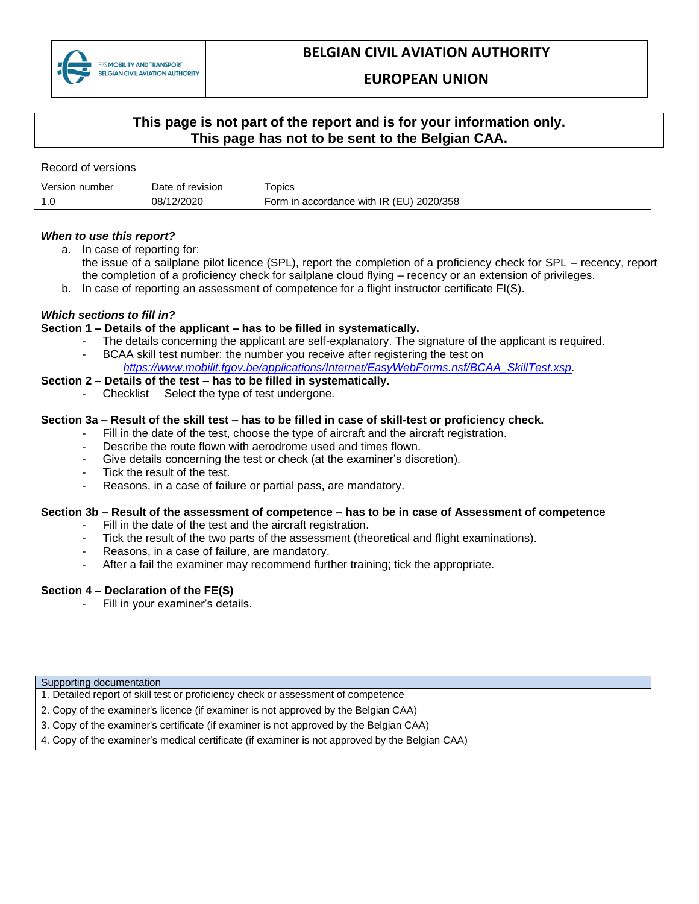

# **BELGIAN CIVIL AVIATION AUTHORITY**

### **EUROPEAN UNION**

### **This page is not part of the report and is for your information only. This page has not to be sent to the Belgian CAA.**

Record of versions

| number<br>ver<br>rsıor | revision<br>)ate<br>റ† | <b>ODICS</b><br>$-$                                             |
|------------------------|------------------------|-----------------------------------------------------------------|
| .                      | חרחרו<br>08/           | 2020/358<br>accordance<br>orm<br>. IR<br>with<br>ın<br>.<br>___ |

#### *When to use this report?*

- a. In case of reporting for:
	- the issue of a sailplane pilot licence (SPL), report the completion of a proficiency check for SPL recency, report the completion of a proficiency check for sailplane cloud flying – recency or an extension of privileges.
- b. In case of reporting an assessment of competence for a flight instructor certificate FI(S).

#### *Which sections to fill in?*

#### **Section 1 – Details of the applicant – has to be filled in systematically.**

- The details concerning the applicant are self-explanatory. The signature of the applicant is required.
- BCAA skill test number: the number you receive after registering the test on *[https://www.mobilit.fgov.be/applications/Internet/EasyWebForms.nsf/BCAA\\_SkillTest.xsp.](https://www.mobilit.fgov.be/applications/Internet/EasyWebForms.nsf/BCAA_SkillTest.xsp)*

#### **Section 2 – Details of the test – has to be filled in systematically.**

Checklist Select the type of test undergone.

#### **Section 3a – Result of the skill test – has to be filled in case of skill-test or proficiency check.**

- Fill in the date of the test, choose the type of aircraft and the aircraft registration.
	- Describe the route flown with aerodrome used and times flown.
	- Give details concerning the test or check (at the examiner's discretion).
	- Tick the result of the test.
	- Reasons, in a case of failure or partial pass, are mandatory.

#### **Section 3b – Result of the assessment of competence – has to be in case of Assessment of competence**

- Fill in the date of the test and the aircraft registration.
- Tick the result of the two parts of the assessment (theoretical and flight examinations).
- Reasons, in a case of failure, are mandatory.
- After a fail the examiner may recommend further training; tick the appropriate.

#### **Section 4 – Declaration of the FE(S)**

Fill in your examiner's details.

#### Supporting documentation

- 1. Detailed report of skill test or proficiency check or assessment of competence
- 2. Copy of the examiner's licence (if examiner is not approved by the Belgian CAA)
- 3. Copy of the examiner's certificate (if examiner is not approved by the Belgian CAA)
- 4. Copy of the examiner's medical certificate (if examiner is not approved by the Belgian CAA)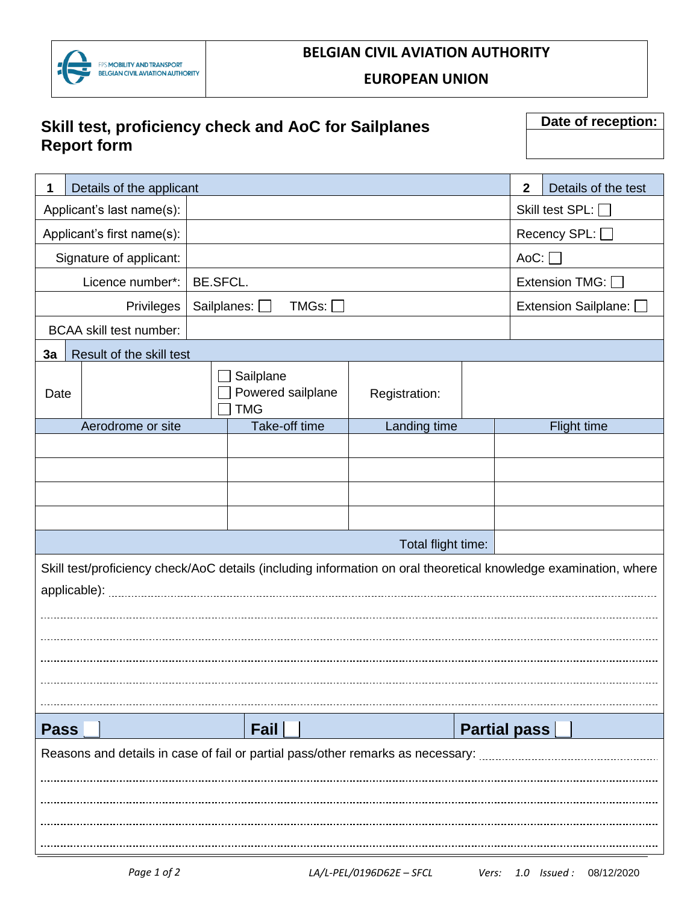

## **BELGIAN CIVIL AVIATION AUTHORITY**

**EUROPEAN UNION**

# **Skill test, proficiency check and AoC for Sailplanes Report form**

**Date of reception:**

| 1                                                                               | Details of the applicant                     |  |                                                                                                                  |               |                     | $\mathbf{2}$         |  | Details of the test |
|---------------------------------------------------------------------------------|----------------------------------------------|--|------------------------------------------------------------------------------------------------------------------|---------------|---------------------|----------------------|--|---------------------|
| Applicant's last name(s):                                                       |                                              |  |                                                                                                                  |               | Skill test SPL: □   |                      |  |                     |
| Applicant's first name(s):                                                      |                                              |  |                                                                                                                  |               |                     | Recency SPL: □       |  |                     |
|                                                                                 | Signature of applicant:                      |  |                                                                                                                  |               |                     | $Aoc:$ $\Box$        |  |                     |
|                                                                                 | Licence number*:<br><b>BE.SFCL.</b>          |  |                                                                                                                  |               |                     | Extension TMG: [     |  |                     |
|                                                                                 | Sailplanes: $\square$<br>TMGs:<br>Privileges |  |                                                                                                                  |               |                     | Extension Sailplane: |  |                     |
| <b>BCAA</b> skill test number:                                                  |                                              |  |                                                                                                                  |               |                     |                      |  |                     |
| 3a                                                                              | Result of the skill test                     |  |                                                                                                                  |               |                     |                      |  |                     |
| Date                                                                            |                                              |  | Sailplane<br>Powered sailplane<br><b>TMG</b>                                                                     | Registration: |                     |                      |  |                     |
|                                                                                 | Aerodrome or site                            |  | Take-off time                                                                                                    | Landing time  |                     |                      |  | <b>Flight time</b>  |
|                                                                                 |                                              |  |                                                                                                                  |               |                     |                      |  |                     |
|                                                                                 |                                              |  |                                                                                                                  |               |                     |                      |  |                     |
|                                                                                 |                                              |  |                                                                                                                  |               |                     |                      |  |                     |
|                                                                                 |                                              |  |                                                                                                                  |               |                     |                      |  |                     |
|                                                                                 | Total flight time:                           |  |                                                                                                                  |               |                     |                      |  |                     |
|                                                                                 |                                              |  | Skill test/proficiency check/AoC details (including information on oral theoretical knowledge examination, where |               |                     |                      |  |                     |
|                                                                                 |                                              |  |                                                                                                                  |               |                     |                      |  |                     |
|                                                                                 |                                              |  |                                                                                                                  |               |                     |                      |  |                     |
|                                                                                 |                                              |  |                                                                                                                  |               |                     |                      |  |                     |
|                                                                                 |                                              |  |                                                                                                                  |               |                     |                      |  |                     |
|                                                                                 |                                              |  |                                                                                                                  |               |                     |                      |  |                     |
|                                                                                 |                                              |  |                                                                                                                  |               |                     |                      |  |                     |
| <b>Pass</b>                                                                     |                                              |  | Fail                                                                                                             |               | <b>Partial pass</b> |                      |  |                     |
| Reasons and details in case of fail or partial pass/other remarks as necessary: |                                              |  |                                                                                                                  |               |                     |                      |  |                     |
|                                                                                 |                                              |  |                                                                                                                  |               |                     |                      |  |                     |
|                                                                                 |                                              |  |                                                                                                                  |               |                     |                      |  |                     |
|                                                                                 |                                              |  |                                                                                                                  |               |                     |                      |  |                     |
|                                                                                 |                                              |  |                                                                                                                  |               |                     |                      |  |                     |